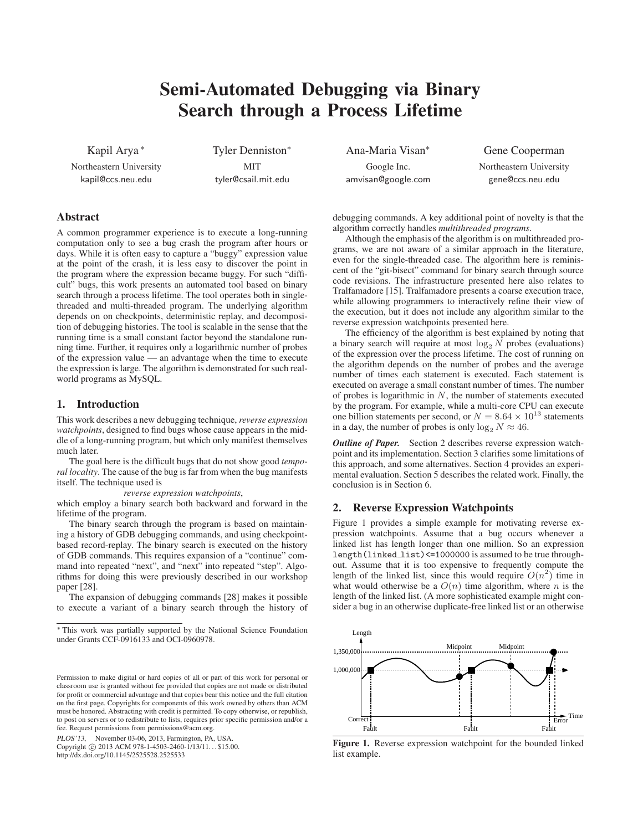# Semi-Automated Debugging via Binary Search through a Process Lifetime

Kapil Arya <sup>∗</sup>

Northeastern University kapil@ccs.neu.edu

Tyler Denniston<sup>∗</sup> MIT tyler@csail.mit.edu

Ana-Maria Visan<sup>∗</sup> Google Inc. amvisan@google.com

Gene Cooperman Northeastern University gene@ccs.neu.edu

# Abstract

A common programmer experience is to execute a long-running computation only to see a bug crash the program after hours or days. While it is often easy to capture a "buggy" expression value at the point of the crash, it is less easy to discover the point in the program where the expression became buggy. For such "difficult" bugs, this work presents an automated tool based on binary search through a process lifetime. The tool operates both in singlethreaded and multi-threaded program. The underlying algorithm depends on on checkpoints, deterministic replay, and decomposition of debugging histories. The tool is scalable in the sense that the running time is a small constant factor beyond the standalone running time. Further, it requires only a logarithmic number of probes of the expression value — an advantage when the time to execute the expression is large. The algorithm is demonstrated for such realworld programs as MySQL.

#### 1. Introduction

This work describes a new debugging technique, *reverse expression watchpoints*, designed to find bugs whose cause appears in the middle of a long-running program, but which only manifest themselves much later.

The goal here is the difficult bugs that do not show good *temporal locality*. The cause of the bug is far from when the bug manifests itself. The technique used is

*reverse expression watchpoints*,

which employ a binary search both backward and forward in the lifetime of the program.

The binary search through the program is based on maintaining a history of GDB debugging commands, and using checkpointbased record-replay. The binary search is executed on the history of GDB commands. This requires expansion of a "continue" command into repeated "next", and "next" into repeated "step". Algorithms for doing this were previously described in our workshop paper [28].

The expansion of debugging commands [28] makes it possible to execute a variant of a binary search through the history of

PLOS'13, November 03-06, 2013, Farmington, PA, USA.

Copyright © 2013 ACM 978-1-4503-2460-1/13/11... \$15.00. http://dx.doi.org/10.1145/2525528.2525533

debugging commands. A key additional point of novelty is that the algorithm correctly handles *multithreaded programs*.

Although the emphasis of the algorithm is on multithreaded programs, we are not aware of a similar approach in the literature, even for the single-threaded case. The algorithm here is reminiscent of the "git-bisect" command for binary search through source code revisions. The infrastructure presented here also relates to Tralfamadore [15]. Tralfamadore presents a coarse execution trace, while allowing programmers to interactively refine their view of the execution, but it does not include any algorithm similar to the reverse expression watchpoints presented here.

The efficiency of the algorithm is best explained by noting that a binary search will require at most  $\log_2 N$  probes (evaluations) of the expression over the process lifetime. The cost of running on the algorithm depends on the number of probes and the average number of times each statement is executed. Each statement is executed on average a small constant number of times. The number of probes is logarithmic in  $N$ , the number of statements executed by the program. For example, while a multi-core CPU can execute one billion statements per second, or  $N = 8.64 \times 10^{13}$  statements in a day, the number of probes is only  $\log_2 N \approx 46$ .

*Outline of Paper.* Section 2 describes reverse expression watchpoint and its implementation. Section 3 clarifies some limitations of this approach, and some alternatives. Section 4 provides an experimental evaluation. Section 5 describes the related work. Finally, the conclusion is in Section 6.

# 2. Reverse Expression Watchpoints

Figure 1 provides a simple example for motivating reverse expression watchpoints. Assume that a bug occurs whenever a linked list has length longer than one million. So an expression length(linked list)<=1000000 is assumed to be true throughout. Assume that it is too expensive to frequently compute the length of the linked list, since this would require  $O(n^2)$  time in what would otherwise be a  $O(n)$  time algorithm, where n is the length of the linked list. (A more sophisticated example might consider a bug in an otherwise duplicate-free linked list or an otherwise



Figure 1. Reverse expression watchpoint for the bounded linked list example.

<sup>∗</sup> This work was partially supported by the National Science Foundation under Grants CCF-0916133 and OCI-0960978.

Permission to make digital or hard copies of all or part of this work for personal or classroom use is granted without fee provided that copies are not made or distributed for profit or commercial advantage and that copies bear this notice and the full citation on the first page. Copyrights for components of this work owned by others than ACM must be honored. Abstracting with credit is permitted. To copy otherwise, or republish, to post on servers or to redistribute to lists, requires prior specific permission and/or a fee. Request permissions from permissions@acm.org.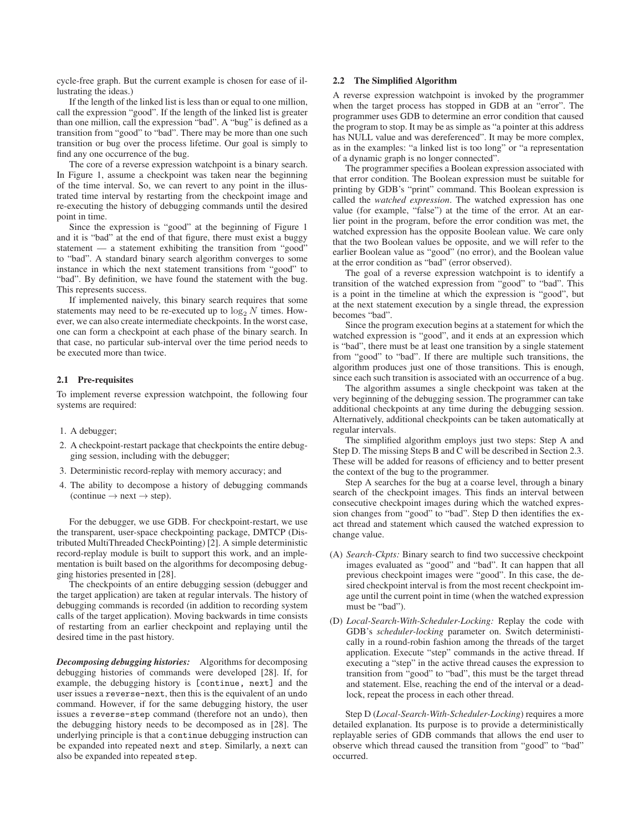cycle-free graph. But the current example is chosen for ease of illustrating the ideas.)

If the length of the linked list is less than or equal to one million, call the expression "good". If the length of the linked list is greater than one million, call the expression "bad". A "bug" is defined as a transition from "good" to "bad". There may be more than one such transition or bug over the process lifetime. Our goal is simply to find any one occurrence of the bug.

The core of a reverse expression watchpoint is a binary search. In Figure 1, assume a checkpoint was taken near the beginning of the time interval. So, we can revert to any point in the illustrated time interval by restarting from the checkpoint image and re-executing the history of debugging commands until the desired point in time.

Since the expression is "good" at the beginning of Figure 1 and it is "bad" at the end of that figure, there must exist a buggy statement — a statement exhibiting the transition from "good" to "bad". A standard binary search algorithm converges to some instance in which the next statement transitions from "good" to "bad". By definition, we have found the statement with the bug. This represents success.

If implemented naively, this binary search requires that some statements may need to be re-executed up to  $\log_2 N$  times. However, we can also create intermediate checkpoints. In the worst case, one can form a checkpoint at each phase of the binary search. In that case, no particular sub-interval over the time period needs to be executed more than twice.

#### 2.1 Pre-requisites

To implement reverse expression watchpoint, the following four systems are required:

- 1. A debugger;
- 2. A checkpoint-restart package that checkpoints the entire debugging session, including with the debugger;
- 3. Deterministic record-replay with memory accuracy; and
- 4. The ability to decompose a history of debugging commands  $(continue \rightarrow next \rightarrow step).$

For the debugger, we use GDB. For checkpoint-restart, we use the transparent, user-space checkpointing package, DMTCP (Distributed MultiThreaded CheckPointing) [2]. A simple deterministic record-replay module is built to support this work, and an implementation is built based on the algorithms for decomposing debugging histories presented in [28].

The checkpoints of an entire debugging session (debugger and the target application) are taken at regular intervals. The history of debugging commands is recorded (in addition to recording system calls of the target application). Moving backwards in time consists of restarting from an earlier checkpoint and replaying until the desired time in the past history.

*Decomposing debugging histories:* Algorithms for decomposing debugging histories of commands were developed [28]. If, for example, the debugging history is [continue, next] and the user issues a reverse-next, then this is the equivalent of an undo command. However, if for the same debugging history, the user issues a reverse-step command (therefore not an undo), then the debugging history needs to be decomposed as in [28]. The underlying principle is that a continue debugging instruction can be expanded into repeated next and step. Similarly, a next can also be expanded into repeated step.

#### 2.2 The Simplified Algorithm

A reverse expression watchpoint is invoked by the programmer when the target process has stopped in GDB at an "error". The programmer uses GDB to determine an error condition that caused the program to stop. It may be as simple as "a pointer at this address has NULL value and was dereferenced". It may be more complex, as in the examples: "a linked list is too long" or "a representation of a dynamic graph is no longer connected".

The programmer specifies a Boolean expression associated with that error condition. The Boolean expression must be suitable for printing by GDB's "print" command. This Boolean expression is called the *watched expression*. The watched expression has one value (for example, "false") at the time of the error. At an earlier point in the program, before the error condition was met, the watched expression has the opposite Boolean value. We care only that the two Boolean values be opposite, and we will refer to the earlier Boolean value as "good" (no error), and the Boolean value at the error condition as "bad" (error observed).

The goal of a reverse expression watchpoint is to identify a transition of the watched expression from "good" to "bad". This is a point in the timeline at which the expression is "good", but at the next statement execution by a single thread, the expression becomes "bad".

Since the program execution begins at a statement for which the watched expression is "good", and it ends at an expression which is "bad", there must be at least one transition by a single statement from "good" to "bad". If there are multiple such transitions, the algorithm produces just one of those transitions. This is enough, since each such transition is associated with an occurrence of a bug.

The algorithm assumes a single checkpoint was taken at the very beginning of the debugging session. The programmer can take additional checkpoints at any time during the debugging session. Alternatively, additional checkpoints can be taken automatically at regular intervals.

The simplified algorithm employs just two steps: Step A and Step D. The missing Steps B and C will be described in Section 2.3. These will be added for reasons of efficiency and to better present the context of the bug to the programmer.

Step A searches for the bug at a coarse level, through a binary search of the checkpoint images. This finds an interval between consecutive checkpoint images during which the watched expression changes from "good" to "bad". Step D then identifies the exact thread and statement which caused the watched expression to change value.

- (A) *Search-Ckpts:* Binary search to find two successive checkpoint images evaluated as "good" and "bad". It can happen that all previous checkpoint images were "good". In this case, the desired checkpoint interval is from the most recent checkpoint image until the current point in time (when the watched expression must be "bad").
- (D) *Local-Search-With-Scheduler-Locking:* Replay the code with GDB's *scheduler-locking* parameter on. Switch deterministically in a round-robin fashion among the threads of the target application. Execute "step" commands in the active thread. If executing a "step" in the active thread causes the expression to transition from "good" to "bad", this must be the target thread and statement. Else, reaching the end of the interval or a deadlock, repeat the process in each other thread.

Step D (*Local-Search-With-Scheduler-Locking*) requires a more detailed explanation. Its purpose is to provide a deterministically replayable series of GDB commands that allows the end user to observe which thread caused the transition from "good" to "bad" occurred.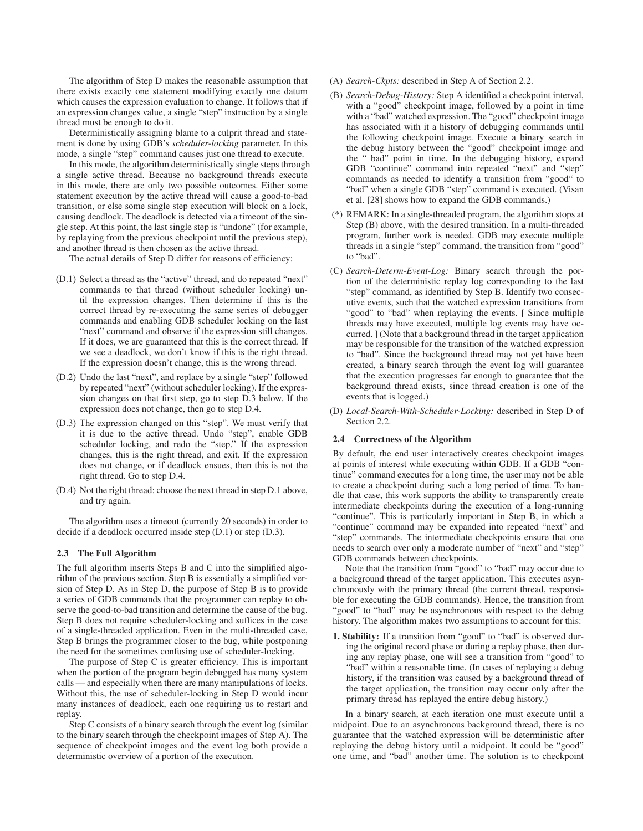The algorithm of Step D makes the reasonable assumption that there exists exactly one statement modifying exactly one datum which causes the expression evaluation to change. It follows that if an expression changes value, a single "step" instruction by a single thread must be enough to do it.

Deterministically assigning blame to a culprit thread and statement is done by using GDB's *scheduler-locking* parameter. In this mode, a single "step" command causes just one thread to execute.

In this mode, the algorithm deterministically single steps through a single active thread. Because no background threads execute in this mode, there are only two possible outcomes. Either some statement execution by the active thread will cause a good-to-bad transition, or else some single step execution will block on a lock, causing deadlock. The deadlock is detected via a timeout of the single step. At this point, the last single step is "undone" (for example, by replaying from the previous checkpoint until the previous step), and another thread is then chosen as the active thread.

The actual details of Step D differ for reasons of efficiency:

- (D.1) Select a thread as the "active" thread, and do repeated "next" commands to that thread (without scheduler locking) until the expression changes. Then determine if this is the correct thread by re-executing the same series of debugger commands and enabling GDB scheduler locking on the last "next" command and observe if the expression still changes. If it does, we are guaranteed that this is the correct thread. If we see a deadlock, we don't know if this is the right thread. If the expression doesn't change, this is the wrong thread.
- (D.2) Undo the last "next", and replace by a single "step" followed by repeated "next" (without scheduler locking). If the expression changes on that first step, go to step D.3 below. If the expression does not change, then go to step D.4.
- (D.3) The expression changed on this "step". We must verify that it is due to the active thread. Undo "step", enable GDB scheduler locking, and redo the "step." If the expression changes, this is the right thread, and exit. If the expression does not change, or if deadlock ensues, then this is not the right thread. Go to step D.4.
- (D.4) Not the right thread: choose the next thread in step D.1 above, and try again.

The algorithm uses a timeout (currently 20 seconds) in order to decide if a deadlock occurred inside step (D.1) or step (D.3).

#### 2.3 The Full Algorithm

The full algorithm inserts Steps B and C into the simplified algorithm of the previous section. Step B is essentially a simplified version of Step D. As in Step D, the purpose of Step B is to provide a series of GDB commands that the programmer can replay to observe the good-to-bad transition and determine the cause of the bug. Step B does not require scheduler-locking and suffices in the case of a single-threaded application. Even in the multi-threaded case, Step B brings the programmer closer to the bug, while postponing the need for the sometimes confusing use of scheduler-locking.

The purpose of Step C is greater efficiency. This is important when the portion of the program begin debugged has many system calls — and especially when there are many manipulations of locks. Without this, the use of scheduler-locking in Step D would incur many instances of deadlock, each one requiring us to restart and replay.

Step C consists of a binary search through the event log (similar to the binary search through the checkpoint images of Step A). The sequence of checkpoint images and the event log both provide a deterministic overview of a portion of the execution.

- (A) *Search-Ckpts:* described in Step A of Section 2.2.
- (B) *Search-Debug-History:* Step A identified a checkpoint interval, with a "good" checkpoint image, followed by a point in time with a "bad" watched expression. The "good" checkpoint image has associated with it a history of debugging commands until the following checkpoint image. Execute a binary search in the debug history between the "good" checkpoint image and the " bad" point in time. In the debugging history, expand GDB "continue" command into repeated "next" and "step" commands as needed to identify a transition from "good" to "bad" when a single GDB "step" command is executed. (Visan et al. [28] shows how to expand the GDB commands.)
- (\*) REMARK: In a single-threaded program, the algorithm stops at Step (B) above, with the desired transition. In a multi-threaded program, further work is needed. GDB may execute multiple threads in a single "step" command, the transition from "good" to "bad".
- (C) *Search-Determ-Event-Log:* Binary search through the portion of the deterministic replay log corresponding to the last "step" command, as identified by Step B. Identify two consecutive events, such that the watched expression transitions from "good" to "bad" when replaying the events. [ Since multiple threads may have executed, multiple log events may have occurred. ] (Note that a background thread in the target application may be responsible for the transition of the watched expression to "bad". Since the background thread may not yet have been created, a binary search through the event log will guarantee that the execution progresses far enough to guarantee that the background thread exists, since thread creation is one of the events that is logged.)
- (D) *Local-Search-With-Scheduler-Locking:* described in Step D of Section 2.2.

#### 2.4 Correctness of the Algorithm

By default, the end user interactively creates checkpoint images at points of interest while executing within GDB. If a GDB "continue" command executes for a long time, the user may not be able to create a checkpoint during such a long period of time. To handle that case, this work supports the ability to transparently create intermediate checkpoints during the execution of a long-running "continue". This is particularly important in Step B, in which a "continue" command may be expanded into repeated "next" and "step" commands. The intermediate checkpoints ensure that one needs to search over only a moderate number of "next" and "step" GDB commands between checkpoints.

Note that the transition from "good" to "bad" may occur due to a background thread of the target application. This executes asynchronously with the primary thread (the current thread, responsible for executing the GDB commands). Hence, the transition from "good" to "bad" may be asynchronous with respect to the debug history. The algorithm makes two assumptions to account for this:

1. Stability: If a transition from "good" to "bad" is observed during the original record phase or during a replay phase, then during any replay phase, one will see a transition from "good" to "bad" within a reasonable time. (In cases of replaying a debug history, if the transition was caused by a background thread of the target application, the transition may occur only after the primary thread has replayed the entire debug history.)

In a binary search, at each iteration one must execute until a midpoint. Due to an asynchronous background thread, there is no guarantee that the watched expression will be deterministic after replaying the debug history until a midpoint. It could be "good" one time, and "bad" another time. The solution is to checkpoint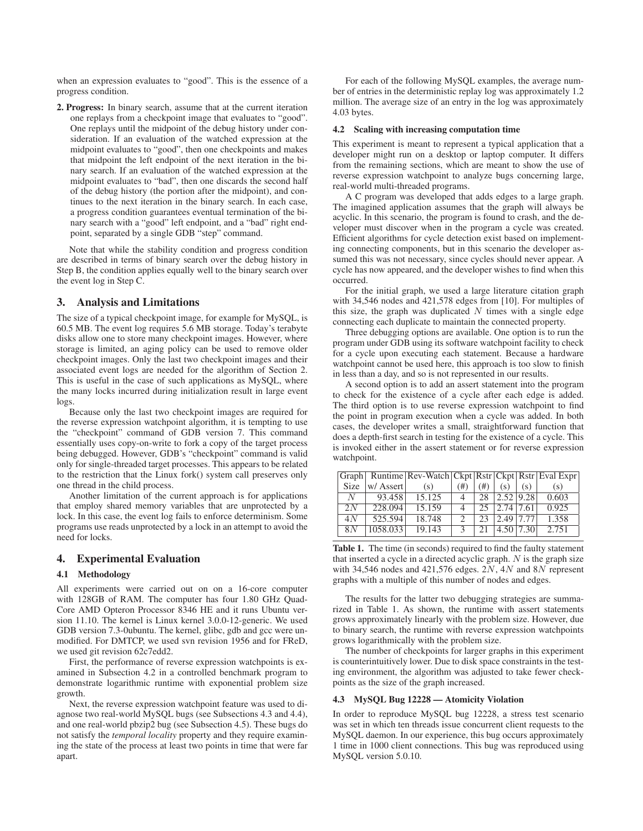when an expression evaluates to "good". This is the essence of a progress condition.

2. Progress: In binary search, assume that at the current iteration one replays from a checkpoint image that evaluates to "good". One replays until the midpoint of the debug history under consideration. If an evaluation of the watched expression at the midpoint evaluates to "good", then one checkpoints and makes that midpoint the left endpoint of the next iteration in the binary search. If an evaluation of the watched expression at the midpoint evaluates to "bad", then one discards the second half of the debug history (the portion after the midpoint), and continues to the next iteration in the binary search. In each case, a progress condition guarantees eventual termination of the binary search with a "good" left endpoint, and a "bad" right endpoint, separated by a single GDB "step" command.

Note that while the stability condition and progress condition are described in terms of binary search over the debug history in Step B, the condition applies equally well to the binary search over the event log in Step C.

## 3. Analysis and Limitations

The size of a typical checkpoint image, for example for MySQL, is 60.5 MB. The event log requires 5.6 MB storage. Today's terabyte disks allow one to store many checkpoint images. However, where storage is limited, an aging policy can be used to remove older checkpoint images. Only the last two checkpoint images and their associated event logs are needed for the algorithm of Section 2. This is useful in the case of such applications as MySQL, where the many locks incurred during initialization result in large event logs.

Because only the last two checkpoint images are required for the reverse expression watchpoint algorithm, it is tempting to use the "checkpoint" command of GDB version 7. This command essentially uses copy-on-write to fork a copy of the target process being debugged. However, GDB's "checkpoint" command is valid only for single-threaded target processes. This appears to be related to the restriction that the Linux fork() system call preserves only one thread in the child process.

Another limitation of the current approach is for applications that employ shared memory variables that are unprotected by a lock. In this case, the event log fails to enforce determinism. Some programs use reads unprotected by a lock in an attempt to avoid the need for locks.

## 4. Experimental Evaluation

#### 4.1 Methodology

All experiments were carried out on on a 16-core computer with 128GB of RAM. The computer has four 1.80 GHz Quad-Core AMD Opteron Processor 8346 HE and it runs Ubuntu version 11.10. The kernel is Linux kernel 3.0.0-12-generic. We used GDB version 7.3-0ubuntu. The kernel, glibc, gdb and gcc were unmodified. For DMTCP, we used svn revision 1956 and for FReD, we used git revision 62c7edd2.

First, the performance of reverse expression watchpoints is examined in Subsection 4.2 in a controlled benchmark program to demonstrate logarithmic runtime with exponential problem size growth.

Next, the reverse expression watchpoint feature was used to diagnose two real-world MySQL bugs (see Subsections 4.3 and 4.4), and one real-world pbzip2 bug (see Subsection 4.5). These bugs do not satisfy the *temporal locality* property and they require examining the state of the process at least two points in time that were far apart.

For each of the following MySQL examples, the average number of entries in the deterministic replay log was approximately 1.2 million. The average size of an entry in the log was approximately 4.03 bytes.

#### 4.2 Scaling with increasing computation time

This experiment is meant to represent a typical application that a developer might run on a desktop or laptop computer. It differs from the remaining sections, which are meant to show the use of reverse expression watchpoint to analyze bugs concerning large, real-world multi-threaded programs.

A C program was developed that adds edges to a large graph. The imagined application assumes that the graph will always be acyclic. In this scenario, the program is found to crash, and the developer must discover when in the program a cycle was created. Efficient algorithms for cycle detection exist based on implementing connecting components, but in this scenario the developer assumed this was not necessary, since cycles should never appear. A cycle has now appeared, and the developer wishes to find when this occurred.

For the initial graph, we used a large literature citation graph with 34,546 nodes and 421,578 edges from [10]. For multiples of this size, the graph was duplicated  $N$  times with a single edge connecting each duplicate to maintain the connected property.

Three debugging options are available. One option is to run the program under GDB using its software watchpoint facility to check for a cycle upon executing each statement. Because a hardware watchpoint cannot be used here, this approach is too slow to finish in less than a day, and so is not represented in our results.

A second option is to add an assert statement into the program to check for the existence of a cycle after each edge is added. The third option is to use reverse expression watchpoint to find the point in program execution when a cycle was added. In both cases, the developer writes a small, straightforward function that does a depth-first search in testing for the existence of a cycle. This is invoked either in the assert statement or for reverse expression watchpoint.

|             |              | Graph   Runtime   Rev-Watch   Ckpt   Rstr   Ckpt   Rstr   Eval Expr |                |      |                  |     |       |
|-------------|--------------|---------------------------------------------------------------------|----------------|------|------------------|-----|-------|
| <b>Size</b> | $ w $ Assert | (s)                                                                 | (# )           | (# ) | (s)              | (s) | (s)   |
| $N_{-}$     | 93.458       | 15.125                                                              | $\overline{4}$ | 28   | $2.52$  9.28     |     | 0.603 |
| 2N          | 228,094      | 15.159                                                              |                | 25   | $2.74 \mid 7.61$ |     | 0.925 |
| 4N          | 525.594      | 18.748                                                              |                | 23   | 2.49 7.77        |     | 1.358 |
| 8N          | 1058.033     | 19.143                                                              |                | 21   | $4.50$   $7.30$  |     | 2.751 |

Table 1. The time (in seconds) required to find the faulty statement that inserted a cycle in a directed acyclic graph.  $N$  is the graph size with 34,546 nodes and 421,576 edges.  $2N$ ,  $4N$  and  $8N$  represent graphs with a multiple of this number of nodes and edges.

The results for the latter two debugging strategies are summarized in Table 1. As shown, the runtime with assert statements grows approximately linearly with the problem size. However, due to binary search, the runtime with reverse expression watchpoints grows logarithmically with the problem size.

The number of checkpoints for larger graphs in this experiment is counterintuitively lower. Due to disk space constraints in the testing environment, the algorithm was adjusted to take fewer checkpoints as the size of the graph increased.

#### 4.3 MySQL Bug 12228 — Atomicity Violation

In order to reproduce MySQL bug 12228, a stress test scenario was set in which ten threads issue concurrent client requests to the MySQL daemon. In our experience, this bug occurs approximately 1 time in 1000 client connections. This bug was reproduced using MySQL version 5.0.10.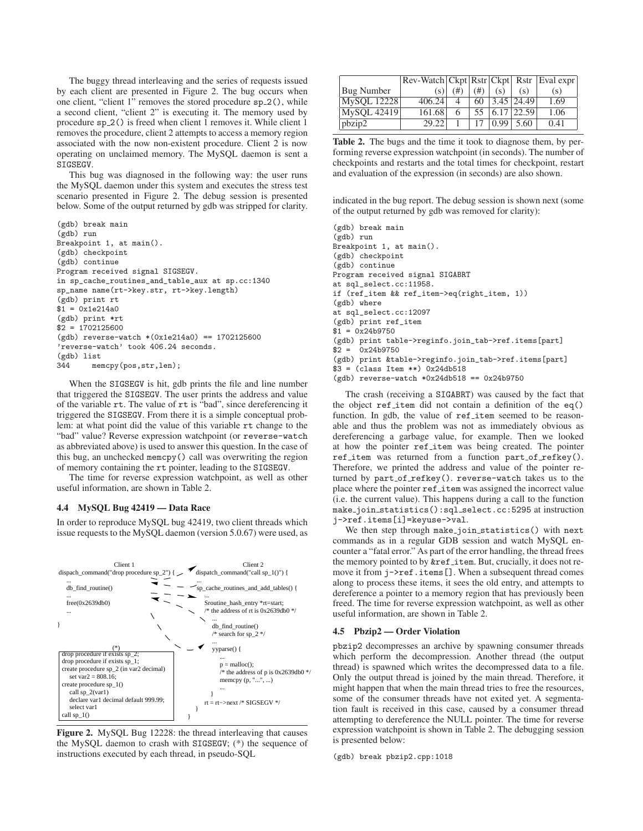The buggy thread interleaving and the series of requests issued by each client are presented in Figure 2. The bug occurs when one client, "client 1" removes the stored procedure sp 2(), while a second client, "client 2" is executing it. The memory used by procedure  $sp_2($ ) is freed when client 1 removes it. While client 1 removes the procedure, client 2 attempts to access a memory region associated with the now non-existent procedure. Client 2 is now operating on unclaimed memory. The MySQL daemon is sent a SIGSEGV.

This bug was diagnosed in the following way: the user runs the MySQL daemon under this system and executes the stress test scenario presented in Figure 2. The debug session is presented below. Some of the output returned by gdb was stripped for clarity.

```
(gdb) break main
(gdb) run
Breakpoint 1, at main().
(gdb) checkpoint
(gdb) continue
Program received signal SIGSEGV.
in sp_cache_routines_and_table_aux at sp.cc:1340
sp_name name(rt->key.str, rt->key.length)
(gdb) print rt
$1 = 0x1e214a0(gdb) print *rt
$2 = 1702125600(gdb) reverse-watch *(0x1e214a0) == 1702125600
'reverse-watch' took 406.24 seconds.
(gdb) list
344 memcpy(pos,str,len);
```
When the SIGSEGV is hit, gdb prints the file and line number that triggered the SIGSEGV. The user prints the address and value of the variable rt. The value of rt is "bad", since dereferencing it triggered the SIGSEGV. From there it is a simple conceptual problem: at what point did the value of this variable rt change to the "bad" value? Reverse expression watchpoint (or reverse-watch as abbreviated above) is used to answer this question. In the case of this bug, an unchecked memcpy() call was overwriting the region of memory containing the rt pointer, leading to the SIGSEGV.

The time for reverse expression watchpoint, as well as other useful information, are shown in Table 2.

#### 4.4 MySQL Bug 42419 — Data Race

In order to reproduce MySQL bug 42419, two client threads which issue requests to the MySQL daemon (version 5.0.67) were used, as



Figure 2. MySQL Bug 12228: the thread interleaving that causes the MySQL daemon to crash with SIGSEGV; (\*) the sequence of instructions executed by each thread, in pseudo-SQL

|                    | Rev-Watch   Ckpt   Rstr   Ckpt   Rstr   Eval expr |     |     |      |                |      |
|--------------------|---------------------------------------------------|-----|-----|------|----------------|------|
| <b>Bug Number</b>  | (S)                                               | (#) | (#) | (s)  | (s)            | (s)  |
| <b>MySOL 12228</b> | 406.24                                            |     | 60  |      | $3.45$ [24.49] | 1.69 |
| MySOL 42419        | 161.68                                            | 6   |     |      | 55 6.17 22.59  | 1.06 |
| $ {\rm pbzip2} $   | 29.22                                             |     | 17  | 0.99 | 5.60           | 0.41 |

Table 2. The bugs and the time it took to diagnose them, by performing reverse expression watchpoint (in seconds). The number of checkpoints and restarts and the total times for checkpoint, restart and evaluation of the expression (in seconds) are also shown.

indicated in the bug report. The debug session is shown next (some of the output returned by gdb was removed for clarity):

(gdb) break main (gdb) run Breakpoint 1, at main(). (gdb) checkpoint (gdb) continue Program received signal SIGABRT at sql\_select.cc:11958. if (ref\_item && ref\_item->eq(right\_item, 1)) (gdb) where at sql\_select.cc:12097 (gdb) print ref\_item  $$1 = 0x24b9750$ (gdb) print table->reginfo.join\_tab->ref.items[part]  $$2 = 0x24b9750$ (gdb) print &table->reginfo.join\_tab->ref.items[part]  $$3 = (class Item **) 0x24db518$ (gdb) reverse-watch \*0x24db518 == 0x24b9750

The crash (receiving a SIGABRT) was caused by the fact that the object ref item did not contain a definition of the eq() function. In gdb, the value of ref\_item seemed to be reasonable and thus the problem was not as immediately obvious as dereferencing a garbage value, for example. Then we looked at how the pointer ref item was being created. The pointer ref item was returned from a function part of refkey(). Therefore, we printed the address and value of the pointer returned by part\_of\_refkey(). reverse-watch takes us to the place where the pointer ref\_item was assigned the incorrect value (i.e. the current value). This happens during a call to the function make\_join\_statistics():sql\_select.cc:5295 at instruction j->ref.items[i]=keyuse->val.

We then step through make\_join\_statistics() with next commands as in a regular GDB session and watch MySQL encounter a "fatal error." As part of the error handling, the thread frees the memory pointed to by &ref\_item. But, crucially, it does not remove it from  $j$ ->ref.items[]. When a subsequent thread comes along to process these items, it sees the old entry, and attempts to dereference a pointer to a memory region that has previously been freed. The time for reverse expression watchpoint, as well as other useful information, are shown in Table 2.

#### 4.5 Pbzip2 — Order Violation

pbzip2 decompresses an archive by spawning consumer threads which perform the decompression. Another thread (the output thread) is spawned which writes the decompressed data to a file. Only the output thread is joined by the main thread. Therefore, it might happen that when the main thread tries to free the resources, some of the consumer threads have not exited yet. A segmentation fault is received in this case, caused by a consumer thread attempting to dereference the NULL pointer. The time for reverse expression watchpoint is shown in Table 2. The debugging session is presented below:

(gdb) break pbzip2.cpp:1018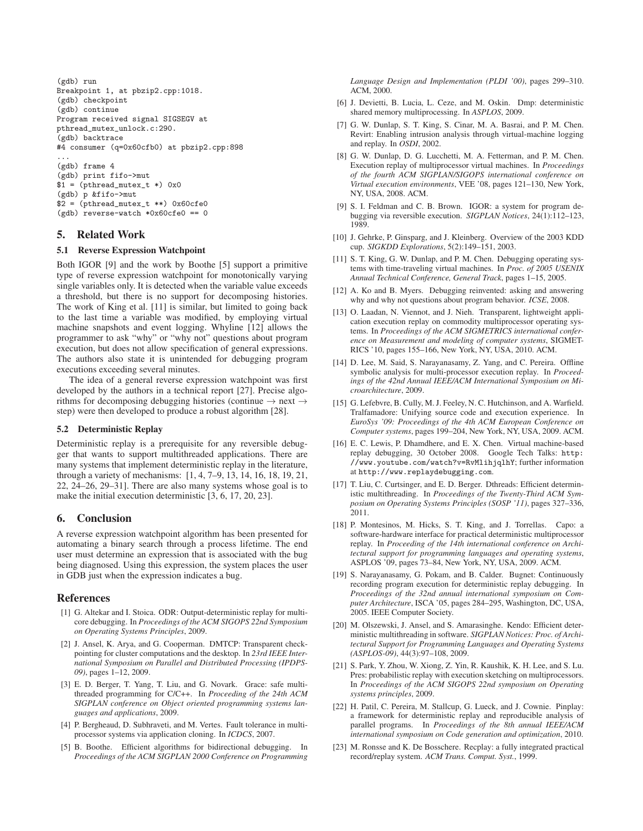```
(gdb) run
Breakpoint 1, at pbzip2.cpp:1018.
(gdb) checkpoint
(gdb) continue
Program received signal SIGSEGV at
pthread_mutex_unlock.c:290.
(gdb) backtrace
#4 consumer (q=0x60cfb0) at pbzip2.cpp:898
...
(gdb) frame 4
(gdb) print fifo->mut
$1 = (pthread_mutex_t *) 0x0(gdb) p &fifo->mut
$2 = (pthread_mutex_t **) 0x60cfe0(gdb) reverse-watch *0x60cfe0 == 0
```
# 5. Related Work

## 5.1 Reverse Expression Watchpoint

Both IGOR [9] and the work by Boothe [5] support a primitive type of reverse expression watchpoint for monotonically varying single variables only. It is detected when the variable value exceeds a threshold, but there is no support for decomposing histories. The work of King et al. [11] is similar, but limited to going back to the last time a variable was modified, by employing virtual machine snapshots and event logging. Whyline [12] allows the programmer to ask "why" or "why not" questions about program execution, but does not allow specification of general expressions. The authors also state it is unintended for debugging program executions exceeding several minutes.

The idea of a general reverse expression watchpoint was first developed by the authors in a technical report [27]. Precise algorithms for decomposing debugging histories (continue  $\rightarrow$  next  $\rightarrow$ step) were then developed to produce a robust algorithm [28].

# 5.2 Deterministic Replay

Deterministic replay is a prerequisite for any reversible debugger that wants to support multithreaded applications. There are many systems that implement deterministic replay in the literature, through a variety of mechanisms: [1, 4, 7–9, 13, 14, 16, 18, 19, 21, 22, 24–26, 29–31]. There are also many systems whose goal is to make the initial execution deterministic [3, 6, 17, 20, 23].

# 6. Conclusion

A reverse expression watchpoint algorithm has been presented for automating a binary search through a process lifetime. The end user must determine an expression that is associated with the bug being diagnosed. Using this expression, the system places the user in GDB just when the expression indicates a bug.

# References

- [1] G. Altekar and I. Stoica. ODR: Output-deterministic replay for multicore debugging. In *Proceedings of the ACM SIGOPS 22nd Symposium on Operating Systems Principles*, 2009.
- [2] J. Ansel, K. Arya, and G. Cooperman. DMTCP: Transparent checkpointing for cluster computations and the desktop. In *23rd IEEE International Symposium on Parallel and Distributed Processing (IPDPS-09)*, pages 1–12, 2009.
- [3] E. D. Berger, T. Yang, T. Liu, and G. Novark. Grace: safe multithreaded programming for C/C++. In *Proceeding of the 24th ACM SIGPLAN conference on Object oriented programming systems languages and applications*, 2009.
- [4] P. Bergheaud, D. Subhraveti, and M. Vertes. Fault tolerance in multiprocessor systems via application cloning. In *ICDCS*, 2007.
- [5] B. Boothe. Efficient algorithms for bidirectional debugging. In *Proceedings of the ACM SIGPLAN 2000 Conference on Programming*

*Language Design and Implementation (PLDI '00)*, pages 299–310. ACM, 2000.

- [6] J. Devietti, B. Lucia, L. Ceze, and M. Oskin. Dmp: deterministic shared memory multiprocessing. In *ASPLOS*, 2009.
- [7] G. W. Dunlap, S. T. King, S. Cinar, M. A. Basrai, and P. M. Chen. Revirt: Enabling intrusion analysis through virtual-machine logging and replay. In *OSDI*, 2002.
- [8] G. W. Dunlap, D. G. Lucchetti, M. A. Fetterman, and P. M. Chen. Execution replay of multiprocessor virtual machines. In *Proceedings of the fourth ACM SIGPLAN/SIGOPS international conference on Virtual execution environments*, VEE '08, pages 121–130, New York, NY, USA, 2008. ACM.
- [9] S. I. Feldman and C. B. Brown. IGOR: a system for program debugging via reversible execution. *SIGPLAN Notices*, 24(1):112–123, 1989.
- [10] J. Gehrke, P. Ginsparg, and J. Kleinberg. Overview of the 2003 KDD cup. *SIGKDD Explorations*, 5(2):149–151, 2003.
- [11] S. T. King, G. W. Dunlap, and P. M. Chen. Debugging operating systems with time-traveling virtual machines. In *Proc. of 2005 USENIX Annual Technical Conference, General Track*, pages 1–15, 2005.
- [12] A. Ko and B. Myers. Debugging reinvented: asking and answering why and why not questions about program behavior. *ICSE*, 2008.
- [13] O. Laadan, N. Viennot, and J. Nieh. Transparent, lightweight application execution replay on commodity multiprocessor operating systems. In *Proceedings of the ACM SIGMETRICS international conference on Measurement and modeling of computer systems*, SIGMET-RICS '10, pages 155–166, New York, NY, USA, 2010. ACM.
- [14] D. Lee, M. Said, S. Narayanasamy, Z. Yang, and C. Pereira. Offline symbolic analysis for multi-processor execution replay. In *Proceedings of the 42nd Annual IEEE/ACM International Symposium on Microarchitecture*, 2009.
- [15] G. Lefebvre, B. Cully, M. J. Feeley, N. C. Hutchinson, and A. Warfield. Tralfamadore: Unifying source code and execution experience. In *EuroSys '09: Proceedings of the 4th ACM European Conference on Computer systems*, pages 199–204, New York, NY, USA, 2009. ACM.
- [16] E. C. Lewis, P. Dhamdhere, and E. X. Chen. Virtual machine-based replay debugging, 30 October 2008. Google Tech Talks: http: //www.youtube.com/watch?v=RvMlihjqlhY; further information at http://www.replaydebugging.com.
- [17] T. Liu, C. Curtsinger, and E. D. Berger. Dthreads: Efficient deterministic multithreading. In *Proceedings of the Twenty-Third ACM Symposium on Operating Systems Principles (SOSP '11)*, pages 327–336, 2011.
- [18] P. Montesinos, M. Hicks, S. T. King, and J. Torrellas. Capo: a software-hardware interface for practical deterministic multiprocessor replay. In *Proceeding of the 14th international conference on Architectural support for programming languages and operating systems*, ASPLOS '09, pages 73–84, New York, NY, USA, 2009. ACM.
- [19] S. Narayanasamy, G. Pokam, and B. Calder. Bugnet: Continuously recording program execution for deterministic replay debugging. In *Proceedings of the 32nd annual international symposium on Computer Architecture*, ISCA '05, pages 284–295, Washington, DC, USA, 2005. IEEE Computer Society.
- [20] M. Olszewski, J. Ansel, and S. Amarasinghe. Kendo: Efficient deterministic multithreading in software. *SIGPLAN Notices: Proc. of Architectural Support for Programming Languages and Operating Systems (ASPLOS-09)*, 44(3):97–108, 2009.
- [21] S. Park, Y. Zhou, W. Xiong, Z. Yin, R. Kaushik, K. H. Lee, and S. Lu. Pres: probabilistic replay with execution sketching on multiprocessors. In *Proceedings of the ACM SIGOPS 22nd symposium on Operating systems principles*, 2009.
- [22] H. Patil, C. Pereira, M. Stallcup, G. Lueck, and J. Cownie. Pinplay: a framework for deterministic replay and reproducible analysis of parallel programs. In *Proceedings of the 8th annual IEEE/ACM international symposium on Code generation and optimization*, 2010.
- [23] M. Ronsse and K. De Bosschere. Recplay: a fully integrated practical record/replay system. *ACM Trans. Comput. Syst.*, 1999.